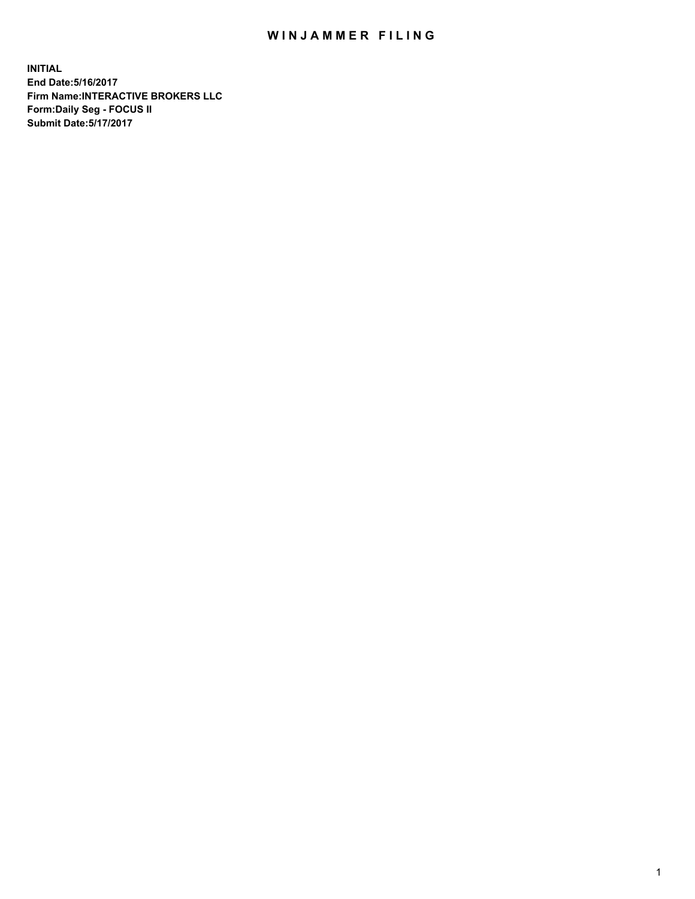## WIN JAMMER FILING

**INITIAL End Date:5/16/2017 Firm Name:INTERACTIVE BROKERS LLC Form:Daily Seg - FOCUS II Submit Date:5/17/2017**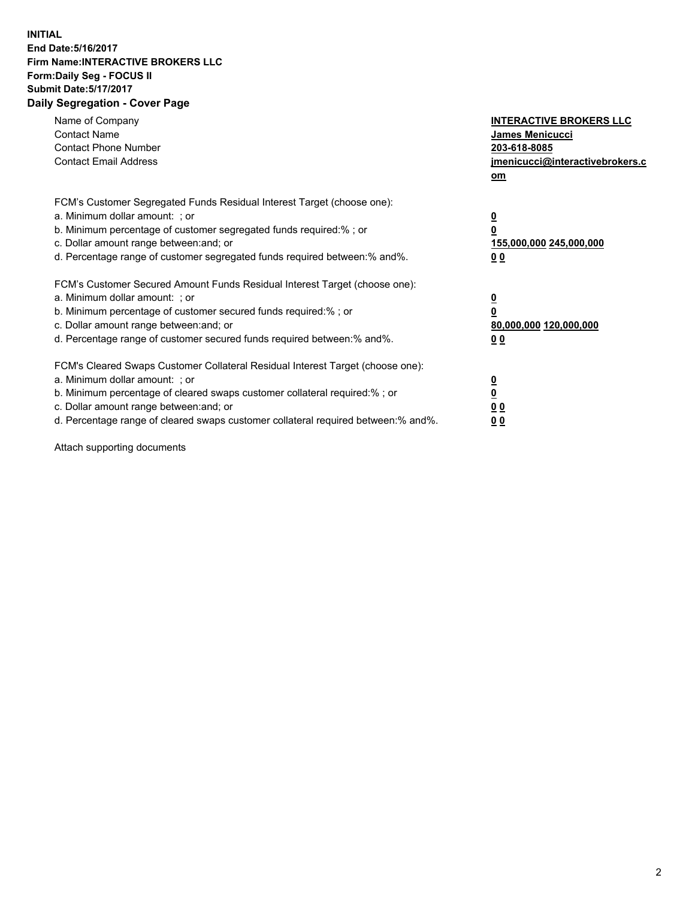## **INITIAL End Date:5/16/2017 Firm Name:INTERACTIVE BROKERS LLC Form:Daily Seg - FOCUS II Submit Date:5/17/2017 Daily Segregation - Cover Page**

| Name of Company<br><b>Contact Name</b><br><b>Contact Phone Number</b><br><b>Contact Email Address</b>                                                                                                                                                                                                                          | <b>INTERACTIVE BROKERS LLC</b><br>James Menicucci<br>203-618-8085<br>jmenicucci@interactivebrokers.c<br>om |
|--------------------------------------------------------------------------------------------------------------------------------------------------------------------------------------------------------------------------------------------------------------------------------------------------------------------------------|------------------------------------------------------------------------------------------------------------|
| FCM's Customer Segregated Funds Residual Interest Target (choose one):<br>a. Minimum dollar amount: ; or<br>b. Minimum percentage of customer segregated funds required:%; or<br>c. Dollar amount range between: and; or<br>d. Percentage range of customer segregated funds required between:% and%.                          | $\overline{\mathbf{0}}$<br>0<br>155,000,000 245,000,000<br>0 <sub>0</sub>                                  |
| FCM's Customer Secured Amount Funds Residual Interest Target (choose one):<br>a. Minimum dollar amount: ; or<br>b. Minimum percentage of customer secured funds required:%; or<br>c. Dollar amount range between: and; or<br>d. Percentage range of customer secured funds required between:% and%.                            | $\overline{\mathbf{0}}$<br>$\overline{\mathbf{0}}$<br>80,000,000 120,000,000<br>00                         |
| FCM's Cleared Swaps Customer Collateral Residual Interest Target (choose one):<br>a. Minimum dollar amount: ; or<br>b. Minimum percentage of cleared swaps customer collateral required:% ; or<br>c. Dollar amount range between: and; or<br>d. Percentage range of cleared swaps customer collateral required between:% and%. | $\overline{\mathbf{0}}$<br>$\overline{\mathbf{0}}$<br>0 <sub>0</sub><br><u>00</u>                          |

Attach supporting documents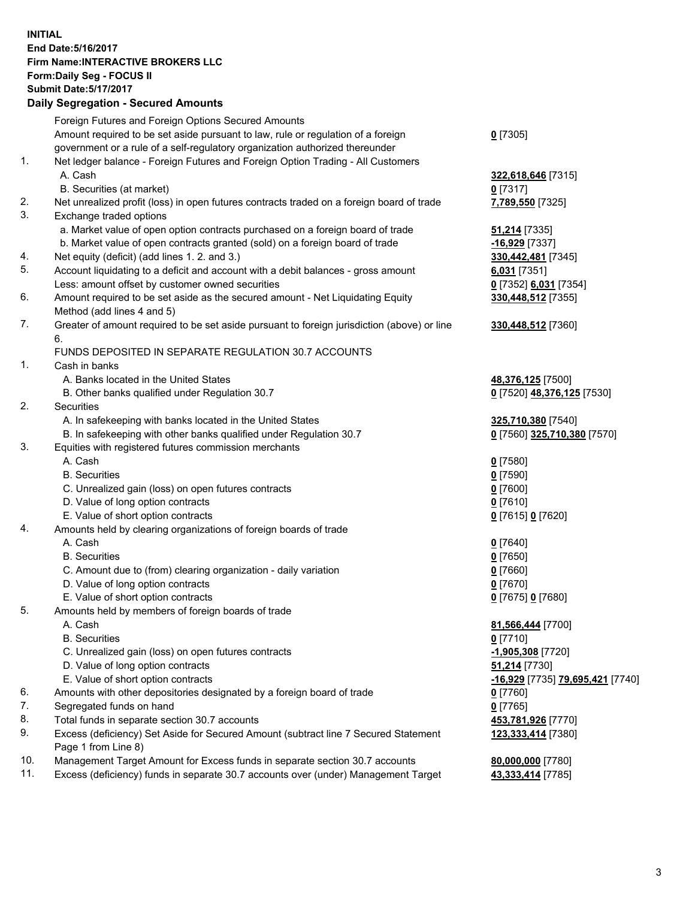## **INITIAL End Date:5/16/2017 Firm Name:INTERACTIVE BROKERS LLC Form:Daily Seg - FOCUS II Submit Date:5/17/2017 Daily Segregation - Secured Amounts**

|     | Daily Segregation - Secured Amounts                                                         |                                  |
|-----|---------------------------------------------------------------------------------------------|----------------------------------|
|     | Foreign Futures and Foreign Options Secured Amounts                                         |                                  |
|     | Amount required to be set aside pursuant to law, rule or regulation of a foreign            | $0$ [7305]                       |
|     | government or a rule of a self-regulatory organization authorized thereunder                |                                  |
| 1.  | Net ledger balance - Foreign Futures and Foreign Option Trading - All Customers             |                                  |
|     | A. Cash                                                                                     | 322,618,646 [7315]               |
|     | B. Securities (at market)                                                                   | $0$ [7317]                       |
| 2.  | Net unrealized profit (loss) in open futures contracts traded on a foreign board of trade   | 7,789,550 [7325]                 |
| 3.  |                                                                                             |                                  |
|     | Exchange traded options                                                                     |                                  |
|     | a. Market value of open option contracts purchased on a foreign board of trade              | <b>51,214</b> [7335]             |
|     | b. Market value of open contracts granted (sold) on a foreign board of trade                | $-16,929$ [7337]                 |
| 4.  | Net equity (deficit) (add lines 1.2. and 3.)                                                | 330,442,481 [7345]               |
| 5.  | Account liquidating to a deficit and account with a debit balances - gross amount           | 6,031 [7351]                     |
|     | Less: amount offset by customer owned securities                                            | 0 [7352] 6,031 [7354]            |
| 6.  | Amount required to be set aside as the secured amount - Net Liquidating Equity              | 330,448,512 [7355]               |
|     | Method (add lines 4 and 5)                                                                  |                                  |
| 7.  | Greater of amount required to be set aside pursuant to foreign jurisdiction (above) or line | 330,448,512 [7360]               |
|     | 6.                                                                                          |                                  |
|     | FUNDS DEPOSITED IN SEPARATE REGULATION 30.7 ACCOUNTS                                        |                                  |
| 1.  | Cash in banks                                                                               |                                  |
|     | A. Banks located in the United States                                                       | 48,376,125 [7500]                |
|     | B. Other banks qualified under Regulation 30.7                                              | 0 [7520] 48,376,125 [7530]       |
| 2.  | Securities                                                                                  |                                  |
|     | A. In safekeeping with banks located in the United States                                   | 325,710,380 [7540]               |
|     | B. In safekeeping with other banks qualified under Regulation 30.7                          | 0 [7560] 325,710,380 [7570]      |
| 3.  | Equities with registered futures commission merchants                                       |                                  |
|     | A. Cash                                                                                     | $0$ [7580]                       |
|     | <b>B.</b> Securities                                                                        | $0$ [7590]                       |
|     | C. Unrealized gain (loss) on open futures contracts                                         | $0$ [7600]                       |
|     | D. Value of long option contracts                                                           | $0$ [7610]                       |
|     | E. Value of short option contracts                                                          | 0 [7615] 0 [7620]                |
| 4.  | Amounts held by clearing organizations of foreign boards of trade                           |                                  |
|     | A. Cash                                                                                     | $0$ [7640]                       |
|     | <b>B.</b> Securities                                                                        | $0$ [7650]                       |
|     | C. Amount due to (from) clearing organization - daily variation                             | $0$ [7660]                       |
|     | D. Value of long option contracts                                                           | $0$ [7670]                       |
|     | E. Value of short option contracts                                                          | 0 [7675] 0 [7680]                |
| 5.  | Amounts held by members of foreign boards of trade                                          |                                  |
|     | A. Cash                                                                                     | 81,566,444 [7700]                |
|     | <b>B.</b> Securities                                                                        | $0$ [7710]                       |
|     | C. Unrealized gain (loss) on open futures contracts                                         | -1,905,308 [7720]                |
|     | D. Value of long option contracts                                                           | 51,214 [7730]                    |
|     | E. Value of short option contracts                                                          | -16,929 [7735] 79,695,421 [7740] |
| 6.  | Amounts with other depositories designated by a foreign board of trade                      |                                  |
| 7.  |                                                                                             | 0 [7760]                         |
|     | Segregated funds on hand                                                                    | $0$ [7765]                       |
| 8.  | Total funds in separate section 30.7 accounts                                               | 453,781,926 [7770]               |
| 9.  | Excess (deficiency) Set Aside for Secured Amount (subtract line 7 Secured Statement         | 123,333,414 [7380]               |
|     | Page 1 from Line 8)                                                                         |                                  |
| 10. | Management Target Amount for Excess funds in separate section 30.7 accounts                 | 80,000,000 [7780]                |
| 11. | Excess (deficiency) funds in separate 30.7 accounts over (under) Management Target          | 43,333,414 [7785]                |
|     |                                                                                             |                                  |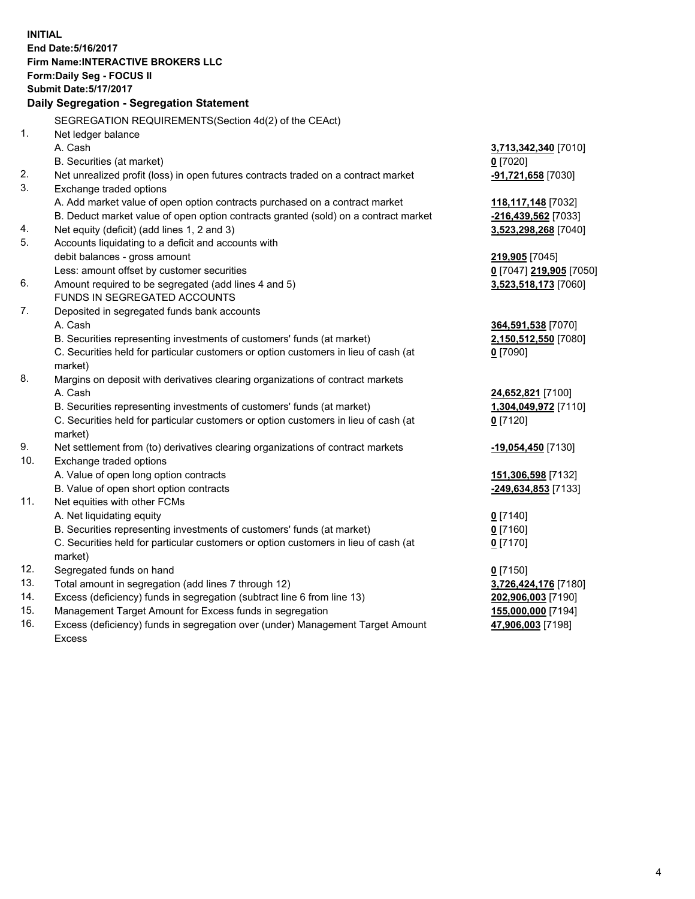**INITIAL End Date:5/16/2017 Firm Name:INTERACTIVE BROKERS LLC Form:Daily Seg - FOCUS II Submit Date:5/17/2017 Daily Segregation - Segregation Statement** SEGREGATION REQUIREMENTS(Section 4d(2) of the CEAct) 1. Net ledger balance A. Cash **3,713,342,340** [7010] B. Securities (at market) **0** [7020] 2. Net unrealized profit (loss) in open futures contracts traded on a contract market **-91,721,658** [7030] 3. Exchange traded options A. Add market value of open option contracts purchased on a contract market **118,117,148** [7032] B. Deduct market value of open option contracts granted (sold) on a contract market **-216,439,562** [7033] 4. Net equity (deficit) (add lines 1, 2 and 3) **3,523,298,268** [7040] 5. Accounts liquidating to a deficit and accounts with debit balances - gross amount **219,905** [7045] Less: amount offset by customer securities **0** [7047] **219,905** [7050] 6. Amount required to be segregated (add lines 4 and 5) **3,523,518,173** [7060] FUNDS IN SEGREGATED ACCOUNTS 7. Deposited in segregated funds bank accounts A. Cash **364,591,538** [7070] B. Securities representing investments of customers' funds (at market) **2,150,512,550** [7080] C. Securities held for particular customers or option customers in lieu of cash (at market) **0** [7090] 8. Margins on deposit with derivatives clearing organizations of contract markets A. Cash **24,652,821** [7100] B. Securities representing investments of customers' funds (at market) **1,304,049,972** [7110] C. Securities held for particular customers or option customers in lieu of cash (at market) **0** [7120] 9. Net settlement from (to) derivatives clearing organizations of contract markets **-19,054,450** [7130] 10. Exchange traded options A. Value of open long option contracts **151,306,598** [7132] B. Value of open short option contracts **-249,634,853** [7133] 11. Net equities with other FCMs A. Net liquidating equity **0** [7140] B. Securities representing investments of customers' funds (at market) **0** [7160] C. Securities held for particular customers or option customers in lieu of cash (at market) **0** [7170] 12. Segregated funds on hand **0** [7150] 13. Total amount in segregation (add lines 7 through 12) **3,726,424,176** [7180] 14. Excess (deficiency) funds in segregation (subtract line 6 from line 13) **202,906,003** [7190] 15. Management Target Amount for Excess funds in segregation **155,000,000** [7194]

16. Excess (deficiency) funds in segregation over (under) Management Target Amount Excess

**47,906,003** [7198]